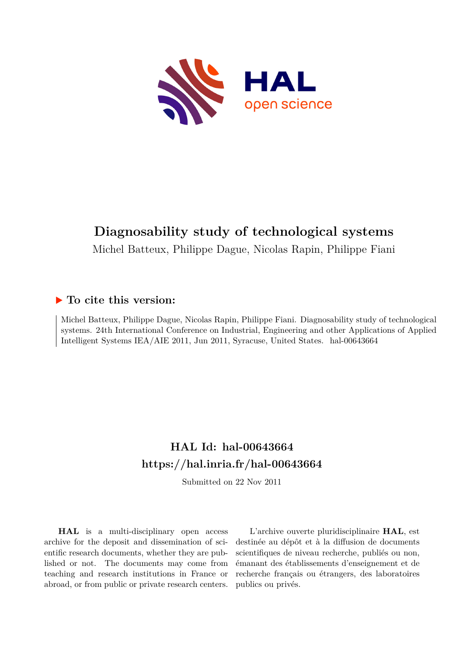

# **Diagnosability study of technological systems**

Michel Batteux, Philippe Dague, Nicolas Rapin, Philippe Fiani

## **To cite this version:**

Michel Batteux, Philippe Dague, Nicolas Rapin, Philippe Fiani. Diagnosability study of technological systems. 24th International Conference on Industrial, Engineering and other Applications of Applied Intelligent Systems IEA/AIE 2011, Jun 2011, Syracuse, United States. hal-00643664

## **HAL Id: hal-00643664 <https://hal.inria.fr/hal-00643664>**

Submitted on 22 Nov 2011

**HAL** is a multi-disciplinary open access archive for the deposit and dissemination of scientific research documents, whether they are published or not. The documents may come from teaching and research institutions in France or abroad, or from public or private research centers.

L'archive ouverte pluridisciplinaire **HAL**, est destinée au dépôt et à la diffusion de documents scientifiques de niveau recherche, publiés ou non, émanant des établissements d'enseignement et de recherche français ou étrangers, des laboratoires publics ou privés.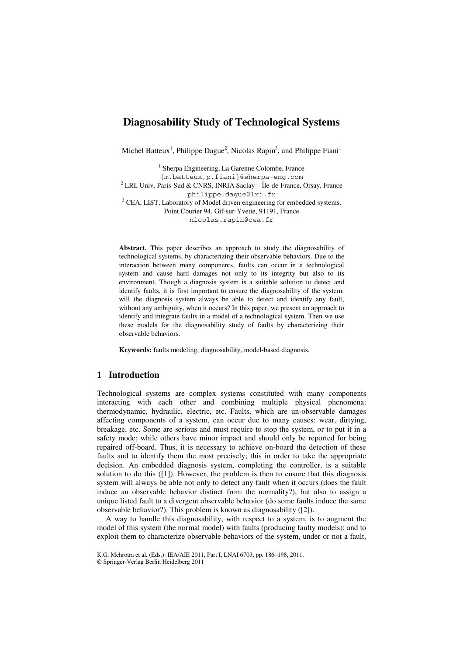## **Diagnosability Study of Technological Systems**

Michel Batteux<sup>1</sup>, Philippe Dague<sup>2</sup>, Nicolas Rapin<sup>3</sup>, and Philippe Fiani<sup>1</sup>

<sup>1</sup> Sherpa Engineering, La Garenne Colombe, France {m.batteux,p.fiani}@sherpa-eng.com  $2$  LRI, Univ. Paris-Sud & CNRS, INRIA Saclay – Île-de-France, Orsay, France philippe.dague@lri.fr  $3$  CEA, LIST, Laboratory of Model driven engineering for embedded systems, Point Courier 94, Gif-sur-Yvette, 91191, France nicolas.rapin@cea.fr

**Abstract.** This paper describes an approach to study the diagnosability of technological systems, by characterizing their observable behaviors. Due to the interaction between many components, faults can occur in a technological system and cause hard damages not only to its integrity but also to its environment. Though a diagnosis system is a suitable solution to detect and identify faults, it is first important to ensure the diagnosability of the system: will the diagnosis system always be able to detect and identify any fault, without any ambiguity, when it occurs? In this paper, we present an approach to identify and integrate faults in a model of a technological system. Then we use these models for the diagnosability study of faults by characterizing their observable behaviors.

**Keywords:** faults modeling, diagnosability, model-based diagnosis.

### **1 Introduction**

Technological systems are complex systems constituted with many components interacting with each other and combining multiple physical phenomena: thermodynamic, hydraulic, electric, etc. Faults, which are un-observable damages affecting components of a system, can occur due to many causes: wear, dirtying, breakage, etc. Some are serious and must require to stop the system, or to put it in a safety mode; while others have minor impact and should only be reported for being repaired off-board. Thus, it is necessary to achieve on-board the detection of these faults and to identify them the most precisely; this in order to take the appropriate decision. An embedded diagnosis system, completing the controller, is a suitable solution to do this ([1]). However, the problem is then to ensure that this diagnosis system will always be able not only to detect any fault when it occurs (does the fault induce an observable behavior distinct from the normality?), but also to assign a unique listed fault to a divergent observable behavior (do some faults induce the same observable behavior?). This problem is known as diagnosability ([2]).

A way to handle this diagnosability, with respect to a system, is to augment the model of this system (the normal model) with faults (producing faulty models); and to exploit them to characterize observable behaviors of the system, under or not a fault,

K.G. Mehrotra et al. (Eds.): IEA/AIE 2011, Part I, LNAI 6703, pp. 186–198, 2011.

<sup>©</sup> Springer-Verlag Berlin Heidelberg 2011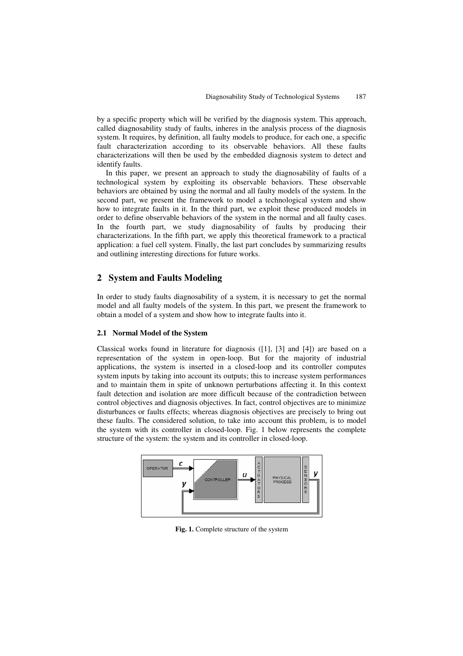by a specific property which will be verified by the diagnosis system. This approach, called diagnosability study of faults, inheres in the analysis process of the diagnosis system. It requires, by definition, all faulty models to produce, for each one, a specific fault characterization according to its observable behaviors. All these faults characterizations will then be used by the embedded diagnosis system to detect and identify faults.

In this paper, we present an approach to study the diagnosability of faults of a technological system by exploiting its observable behaviors. These observable behaviors are obtained by using the normal and all faulty models of the system. In the second part, we present the framework to model a technological system and show how to integrate faults in it. In the third part, we exploit these produced models in order to define observable behaviors of the system in the normal and all faulty cases. In the fourth part, we study diagnosability of faults by producing their characterizations. In the fifth part, we apply this theoretical framework to a practical application: a fuel cell system. Finally, the last part concludes by summarizing results and outlining interesting directions for future works.

### **2 System and Faults Modeling**

In order to study faults diagnosability of a system, it is necessary to get the normal model and all faulty models of the system. In this part, we present the framework to obtain a model of a system and show how to integrate faults into it.

#### **2.1 Normal Model of the System**

Classical works found in literature for diagnosis ([1], [3] and [4]) are based on a representation of the system in open-loop. But for the majority of industrial applications, the system is inserted in a closed-loop and its controller computes system inputs by taking into account its outputs; this to increase system performances and to maintain them in spite of unknown perturbations affecting it. In this context fault detection and isolation are more difficult because of the contradiction between control objectives and diagnosis objectives. In fact, control objectives are to minimize disturbances or faults effects; whereas diagnosis objectives are precisely to bring out these faults. The considered solution, to take into account this problem, is to model the system with its controller in closed-loop. Fig. 1 below represents the complete structure of the system: the system and its controller in closed-loop.



**Fig. 1.** Complete structure of the system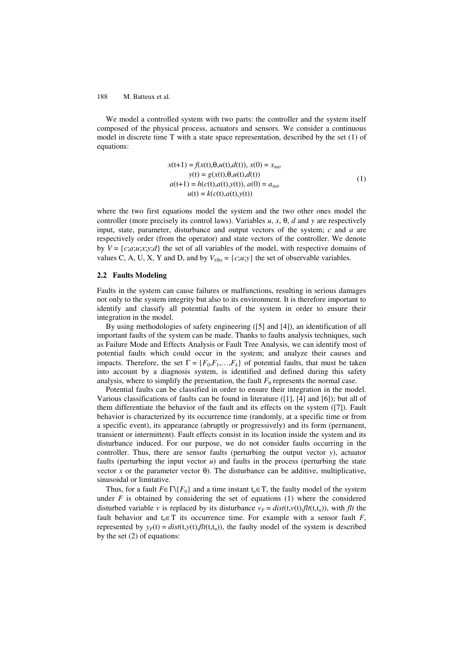We model a controlled system with two parts: the controller and the system itself composed of the physical process, actuators and sensors. We consider a continuous model in discrete time T with a state space representation, described by the set (1) of equations:

$$
x(t+1) = f(x(t), \theta, u(t), d(t)), x(0) = x_{init}
$$
  
\n
$$
y(t) = g(x(t), \theta, u(t), d(t))
$$
  
\n
$$
a(t+1) = h(c(t), a(t), y(t)), a(0) = a_{init}
$$
  
\n
$$
u(t) = k(c(t), a(t), y(t))
$$
\n(1)

where the two first equations model the system and the two other ones model the controller (more precisely its control laws). Variables *u*, *x*, θ, *d* and *y* are respectively input, state, parameter, disturbance and output vectors of the system; *c* and *a* are respectively order (from the operator) and state vectors of the controller. We denote by  $V = \{c; a; u; x; y; d\}$  the set of all variables of the model, with respective domains of values C, A, U, X, Y and D, and by  $V_{Obs} = \{c; u; y\}$  the set of observable variables.

#### **2.2 Faults Modeling**

Faults in the system can cause failures or malfunctions, resulting in serious damages not only to the system integrity but also to its environment. It is therefore important to identify and classify all potential faults of the system in order to ensure their integration in the model.

By using methodologies of safety engineering ([5] and [4]), an identification of all important faults of the system can be made. Thanks to faults analysis techniques, such as Failure Mode and Effects Analysis or Fault Tree Analysis, we can identify most of potential faults which could occur in the system; and analyze their causes and impacts. Therefore, the set  $\Gamma = \{F_0, F_1, \ldots, F_k\}$  of potential faults, that must be taken into account by a diagnosis system, is identified and defined during this safety analysis, where to simplify the presentation, the fault  $F_0$  represents the normal case.

Potential faults can be classified in order to ensure their integration in the model. Various classifications of faults can be found in literature ([1], [4] and [6]); but all of them differentiate the behavior of the fault and its effects on the system ([7]). Fault behavior is characterized by its occurrence time (randomly, at a specific time or from a specific event), its appearance (abruptly or progressively) and its form (permanent, transient or intermittent). Fault effects consist in its location inside the system and its disturbance induced. For our purpose, we do not consider faults occurring in the controller. Thus, there are sensor faults (perturbing the output vector  $y$ ), actuator faults (perturbing the input vector  $u$ ) and faults in the process (perturbing the state vector *x* or the parameter vector θ). The disturbance can be additive, multiplicative, sinusoidal or limitative.

Thus, for a fault  $F \in \Gamma \backslash \{F_0\}$  and a time instant  $t_n \in T$ , the faulty model of the system under  $F$  is obtained by considering the set of equations  $(1)$  where the considered disturbed variable *v* is replaced by its disturbance  $v_F = dist(t, v(t), fIt(t, t_n))$ , with *flt* the fault behavior and  $t_n \in T$  its occurrence time. For example with a sensor fault *F*, represented by  $y_F(t) = dist(t, y(t), flt(t, t_n))$ , the faulty model of the system is described by the set (2) of equations: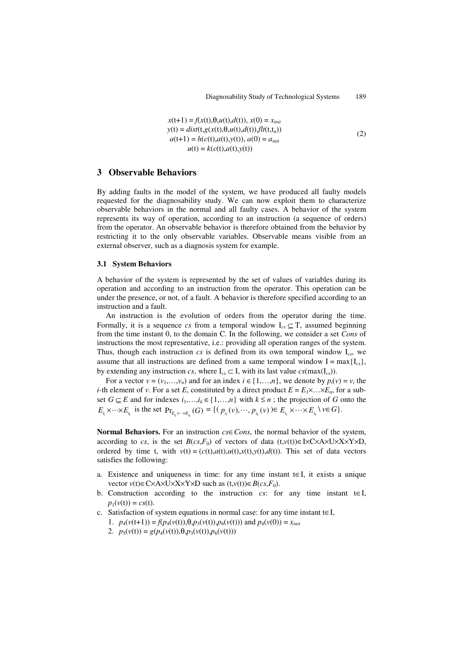$$
x(t+1) = f(x(t), \theta, u(t), d(t)), x(0) = x_{init}
$$
  
\n
$$
y(t) = dist(t, g(x(t), \theta, u(t), d(t)), ftt(t, t_n))
$$
  
\n
$$
a(t+1) = h(c(t), a(t), y(t)), a(0) = a_{init}
$$
  
\n
$$
u(t) = k(c(t), a(t), y(t))
$$
\n(2)

#### **3 Observable Behaviors**

By adding faults in the model of the system, we have produced all faulty models requested for the diagnosability study. We can now exploit them to characterize observable behaviors in the normal and all faulty cases. A behavior of the system represents its way of operation, according to an instruction (a sequence of orders) from the operator. An observable behavior is therefore obtained from the behavior by restricting it to the only observable variables. Observable means visible from an external observer, such as a diagnosis system for example.

#### **3.1 System Behaviors**

A behavior of the system is represented by the set of values of variables during its operation and according to an instruction from the operator. This operation can be under the presence, or not, of a fault. A behavior is therefore specified according to an instruction and a fault.

An instruction is the evolution of orders from the operator during the time. Formally, it is a sequence *cs* from a temporal window  $I_{cs} \subseteq T$ , assumed beginning from the time instant 0, to the domain C. In the following, we consider a set *Cons* of instructions the most representative, i.e.: providing all operation ranges of the system. Thus, though each instruction *cs* is defined from its own temporal window I*cs*, we assume that all instructions are defined from a same temporal window  $I = max\{I_{cs}\}\,$ , by extending any instruction *cs*, where  $I_{cs} \subset I$ , with its last value *cs*(max( $I_{cs}$ )).

For a vector  $v = (v_1, \ldots, v_n)$  and for an index  $i \in \{1, \ldots, n\}$ , we denote by  $p_i(v) = v_i$  the *i*-th element of *v*. For a set *E*, constituted by a direct product  $E = E_1 \times ... \times E_n$ , for a subset *G* ⊆ *E* and for indexes  $i_1, \ldots, i_k$  ∈ {1,…,*n*} with  $k \le n$ ; the projection of *G* onto the  $E_{i_1} \times \cdots \times E_{i_k}$  is the set  $\Pr_{E_{i_1} \times \cdots \times E_{i_k}}(G) = \{ (p_{i_1}(v), \cdots, p_{i_k}(v)) \in E_{i_1} \times \cdots \times E_{i_k} \setminus v \in G \}.$ 

**Normal Behaviors.** For an instruction *cs*∈*Cons*, the normal behavior of the system, according to *cs*, is the set  $B(cs, F_0)$  of vectors of data  $(t, v(t)) \in I \times C \times A \times U \times X \times Y \times D$ , ordered by time t, with  $v(t) = (c(t), a(t), u(t), x(t), y(t), d(t))$ . This set of data vectors satisfies the following:

- a. Existence and uniqueness in time: for any time instant t∈I, it exists a unique vector *v*(t)∈  $C \times A \times U \times X \times Y \times D$  such as  $(t, v(t)) \in B(cs, F_0)$ .
- b. Construction according to the instruction *cs*: for any time instant t∈I,  $p_1(v(t)) = cs(t)$ .
- c. Satisfaction of system equations in normal case: for any time instant t∈I,
	- 1.  $p_4(v(t+1)) = f(p_4(v(t)), \theta, p_3(v(t)), p_6(v(t)))$  and  $p_4(v(0)) = x_{init}$
	- 2.  $p_5(v(t)) = g(p_4(v(t)), \theta, p_3(v(t)), p_6(v(t)))$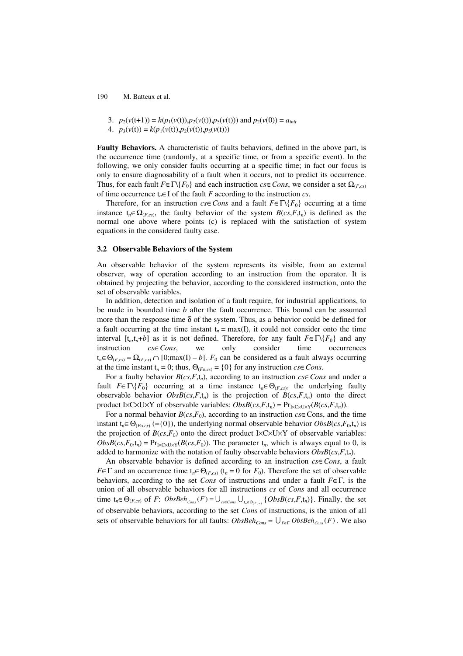- 3.  $p_2(v(t+1)) = h(p_1(v(t)), p_2(v(t)), p_5(v(t)))$  and  $p_2(v(0)) = a_{init}$
- 4.  $p_3(v(t)) = k(p_1(v(t)), p_2(v(t)), p_5(v(t)))$

**Faulty Behaviors.** A characteristic of faults behaviors, defined in the above part, is the occurrence time (randomly, at a specific time, or from a specific event). In the following, we only consider faults occurring at a specific time; in fact our focus is only to ensure diagnosability of a fault when it occurs, not to predict its occurrence. Thus, for each fault  $F \in \Gamma \backslash \{F_0\}$  and each instruction  $c s \in Cons$ , we consider a set  $\Omega_{(F,c s)}$ of time occurrence t*n*∈I of the fault *F* according to the instruction *cs*.

Therefore, for an instruction  $c s \in Cons$  and a fault  $F \in \Gamma \backslash \{F_0\}$  occurring at a time instance  $t_n \in \Omega_{(F, cs)}$ , the faulty behavior of the system  $B(c, F, t_n)$  is defined as the normal one above where points (c) is replaced with the satisfaction of system equations in the considered faulty case.

#### **3.2 Observable Behaviors of the System**

An observable behavior of the system represents its visible, from an external observer, way of operation according to an instruction from the operator. It is obtained by projecting the behavior, according to the considered instruction, onto the set of observable variables.

In addition, detection and isolation of a fault require, for industrial applications, to be made in bounded time *b* after the fault occurrence. This bound can be assumed more than the response time  $\delta$  of the system. Thus, as a behavior could be defined for a fault occurring at the time instant  $t_n = max(I)$ , it could not consider onto the time interval  $[t_n,t_n+b]$  as it is not defined. Therefore, for any fault  $F \in \Gamma \backslash \{F_0\}$  and any instruction *cs*∈*Cons*, we only consider time occurrences  $t_n \in \Theta_{(F, cs)} = \Omega_{(F, cs)} \cap [0; \max(1) - b]$ .  $F_0$  can be considered as a fault always occurring at the time instant  $t_n = 0$ ; thus,  $\Theta_{(F_0, cs)} = \{0\}$  for any instruction  $cs \in Cons$ .

For a faulty behavior  $B(c, F, t_n)$ , according to an instruction  $c \in Cons$  and under a fault  $F \in \Gamma \backslash \{F_0\}$  occurring at a time instance  $t_n \in \Theta_{(F, cs)}$ , the underlying faulty observable behavior  $ObsB(cs, F, t_n)$  is the projection of  $B(cs, F, t_n)$  onto the direct product I×C×U×Y of observable variables:  $ObsB(cs, F, t_n) = Pr_{I \times C \times U \times Y}(B(cs, F, t_n)).$ 

For a normal behavior  $B(c, F_0)$ , according to an instruction  $c \in \text{Cons}$ , and the time instant  $t_n \in \Theta_{(F_0, cs)}$  (={0}), the underlying normal observable behavior  $ObsB(cs, F_0, t_n)$  is the projection of  $B(c, F_0)$  onto the direct product I×C×U×Y of observable variables:  $ObsB(cs, F_0, t_n) = Pr_{IXC XU X Y}(B(cs, F_0))$ . The parameter  $t_n$ , which is always equal to 0, is added to harmonize with the notation of faulty observable behaviors *ObsB*(*cs*,*F*,t*n*).

An observable behavior is defined according to an instruction *cs*∈*Cons*, a fault *F*∈Γ and an occurrence time  $t_n \in \Theta_{(F,cs)}$  ( $t_n = 0$  for  $F_0$ ). Therefore the set of observable behaviors, according to the set *Cons* of instructions and under a fault *F*∈Γ, is the union of all observable behaviors for all instructions *cs* of *Cons* and all occurrence time  $t_n \in \Theta_{(F,cs)}$  of *F*:  $ObsBeh_{Cons}(F) = \bigcup_{cs \in Cons} \bigcup_{t_n \in \Theta_{(F,cs)}} \{ObsB(cs,F,t_n)\}\$ . Finally, the set of observable behaviors, according to the set *Cons* of instructions, is the union of all sets of observable behaviors for all faults:  $ObsBeh_{Cons} = \bigcup_{F \in \Gamma} ObsBeh_{Cons}(F)$ . We also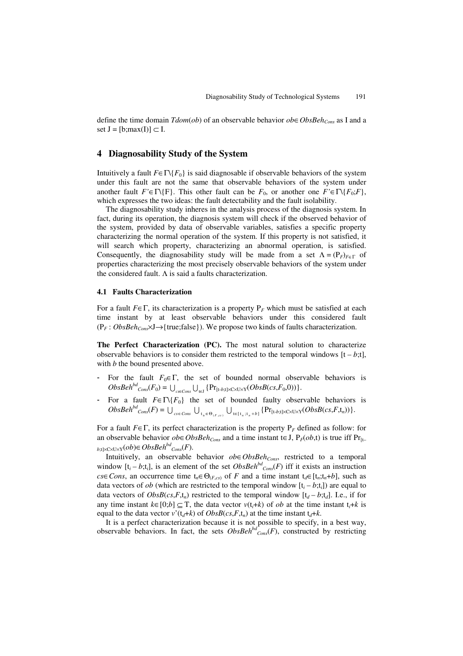define the time domain  $Tdom(obj)$  of an observable behavior  $ob \in ObsBeh_{Cons}$  as I and a set  $J = [b; max(I)] \subset I$ .

#### **4 Diagnosability Study of the System**

Intuitively a fault  $F \in \Gamma \backslash \{F_0\}$  is said diagnosable if observable behaviors of the system under this fault are not the same that observable behaviors of the system under another fault  $F' \in \Gamma \backslash \{F\}$ . This other fault can be  $F_0$ , or another one  $F' \in \Gamma \backslash \{F_0;F\}$ , which expresses the two ideas: the fault detectability and the fault isolability.

The diagnosability study inheres in the analysis process of the diagnosis system. In fact, during its operation, the diagnosis system will check if the observed behavior of the system, provided by data of observable variables, satisfies a specific property characterizing the normal operation of the system. If this property is not satisfied, it will search which property, characterizing an abnormal operation, is satisfied. Consequently, the diagnosability study will be made from a set  $\Lambda = (P_F)_{F \in \Gamma}$  of properties characterizing the most precisely observable behaviors of the system under the considered fault.  $\Lambda$  is said a faults characterization.

#### **4.1 Faults Characterization**

For a fault  $F \in \Gamma$ , its characterization is a property  $P_F$  which must be satisfied at each time instant by at least observable behaviors under this considered fault (P*<sup>F</sup>* : *ObsBehCons*×J→{true;false}). We propose two kinds of faults characterization.

**The Perfect Characterization (PC).** The most natural solution to characterize observable behaviors is to consider them restricted to the temporal windows  $[t - b; t]$ , with *b* the bound presented above.

- For the fault  $F_0 \in \Gamma$ , the set of bounded normal observable behaviors is  $ObsBeh^{bd}_{Cons}(F_0) = \bigcup_{c \in Cons} \bigcup_{i \in J} \{Pr_{[t-b; t] \times C \times U \times Y}(ObsB(cs, F_0, 0))\}.$
- For a fault  $F \in \Gamma \backslash \{F_0\}$  the set of bounded faulty observable behaviors is  $ObsBeh^{bd}$ <sub>Cons</sub>(*F*) =  $\bigcup_{cs \in Cons} \bigcup_{t_n \in \Theta_{(F, cs)}} \bigcup_{t \in [t_n; t_n + b]} \{Pr_{[t \cdot b; t] \times C \times U \times Y}(ObsB(cs, F, t_n))\}.$

For a fault *F*∈Γ, its perfect characterization is the property P*F* defined as follow: for an observable behavior  $ob ∈ ObsBeh_{Cons}$  and a time instant t∈J,  $P_F(obj, t)$  is true iff  $Pr_{[t-}$  $b$ <sub>;tl×C×U×Y</sub>(*ob*)∈ *ObsBeh<sup>bd</sup><sub>Cons</sub>*(*F*).

Intuitively, an observable behavior  $ob ∈ ObsBeh_{Cons}$ , restricted to a temporal window  $[t_i - b; t_i]$ , is an element of the set *ObsBeh*<sup>bd</sup><sub>Cons</sub>(*F*) iff it exists an instruction *cs*∈*Cons*, an occurrence time  $t_n ∈ Θ$ <sub>(*F,cs*)</sub> of *F* and a time instant  $t_d ∈ [t_n; t_n + b]$ , such as data vectors of *ob* (which are restricted to the temporal window  $[t_i - b; t_i]$ ) are equal to data vectors of  $ObsB(c, F, t_n)$  restricted to the temporal window  $[t_d - b; t_d]$ . I.e., if for any time instant  $k \in [0; h] \subseteq T$ , the data vector  $v(t, +k)$  of *ob* at the time instant  $t, +k$  is equal to the data vector  $v'(t_d+k)$  of  $ObsB(cs, F, t_n)$  at the time instant  $t_d+k$ .

It is a perfect characterization because it is not possible to specify, in a best way, observable behaviors. In fact, the sets  $ObsBeh^{bd}{}_{Cons}(F)$ , constructed by restricting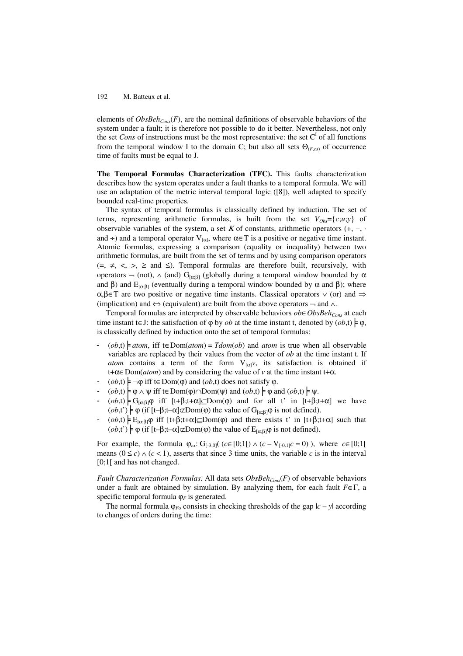elements of  $ObsBeh_{Cons}(F)$ , are the nominal definitions of observable behaviors of the system under a fault; it is therefore not possible to do it better. Nevertheless, not only the set *Cons* of instructions must be the most representative: the set  $C<sup>I</sup>$  of all functions from the temporal window I to the domain C; but also all sets  $\Theta_{(F,cs)}$  of occurrence time of faults must be equal to J.

**The Temporal Formulas Characterization (TFC).** This faults characterization describes how the system operates under a fault thanks to a temporal formula. We will use an adaptation of the metric interval temporal logic ([8]), well adapted to specify bounded real-time properties.

The syntax of temporal formulas is classically defined by induction. The set of terms, representing arithmetic formulas, is built from the set  $V_{Obs} = {c; u; y}$  of observable variables of the system, a set K of constants, arithmetic operators  $(+, -, \cdot)$ and ÷) and a temporal operator  $V_{[\alpha]}$ , where  $\alpha \in T$  is a positive or negative time instant. Atomic formulas, expressing a comparison (equality or inequality) between two arithmetic formulas, are built from the set of terms and by using comparison operators  $(=, ≠, <, >, ≥$  and ≤). Temporal formulas are therefore built, recursively, with operators  $\neg$  (not),  $\wedge$  (and) G<sub>[α;β]</sub> (globally during a temporal window bounded by α and  $\beta$ ) and E<sub>[α;β]</sub> (eventually during a temporal window bounded by  $\alpha$  and  $\beta$ ); where  $\alpha, \beta \in T$  are two positive or negative time instants. Classical operators  $\vee$  (or) and  $\Rightarrow$ (implication) and  $\Leftrightarrow$  (equivalent) are built from the above operators  $\neg$  and  $\wedge$ .

Temporal formulas are interpreted by observable behaviors *ob∈ ObsBeh<sub>Cons</sub>* at each time instant t∈J: the satisfaction of  $\varphi$  by *ob* at the time instant t, denoted by  $(obj, t) \models \varphi$ , is classically defined by induction onto the set of temporal formulas:

- $(ob, t) \models atom$ , iff t∈Dom(*atom*) = *Tdom*(*ob*) and *atom* is true when all observable variables are replaced by their values from the vector of *ob* at the time instant t. If *atom* contains a term of the form  $V_{[\alpha]}v$ , its satisfaction is obtained if t+ $\alpha \in \text{Dom}(atom)$  and by considering the value of *v* at the time instant t+ $\alpha$ .
- (*ob*,t)╞ ¬ϕ iff t∈Dom(ϕ) and (*ob*,t) does not satisfy ϕ.
- $(o, b, t) \models \varphi \land \psi$  iff t∈ Dom( $\varphi$ )∩Dom( $\psi$ ) and  $(o, b, t) \models \varphi$  and  $(o, b, t) \models \psi$ .
- $(ob, t) \models G_{[\alpha;\beta]} \varphi$  iff  $[t+\beta; t+\alpha] \subseteq Dom(\varphi)$  and for all t' in  $[t+\beta; t+\alpha]$  we have (*ob*,t')  $\models$   $\varphi$  (if [t– $\beta$ ;t– $\alpha$ ]⊄Dom( $\varphi$ ) the value of  $G_{[\alpha;\beta]}\varphi$  is not defined).
- $(ob, t) \models E_{[\alpha;\beta]} \varphi$  iff  $[t+\beta;t+\alpha] \subseteq Dom(\varphi)$  and there exists t' in  $[t+\beta;t+\alpha]$  such that  $(ob, t') \models \varphi$  (if  $[t-\beta, t-\alpha] \not\subset \text{Dom}(\varphi)$ ) the value of  $E_{[\alpha;\beta]} \varphi$  is not defined).

For example, the formula  $φ_{ex}: G_{[-3,0]}$  ( $c ∈ [0;1]) ∧ (c - V_{[-0,1]}c = 0)$ ), where  $c ∈ [0;1]$ means  $(0 \leq c) \land (c < 1)$ , asserts that since 3 time units, the variable *c* is in the interval [0;1] and has not changed.

*Fault Characterization Formulas.* All data sets *ObsBeh<sub>Cons</sub>*(*F*) of observable behaviors under a fault are obtained by simulation. By analyzing them, for each fault *F*∈Γ, a specific temporal formula  $\varphi_F$  is generated.

The normal formula  $\varphi_{F_0}$  consists in checking thresholds of the gap  $|c - y|$  according to changes of orders during the time: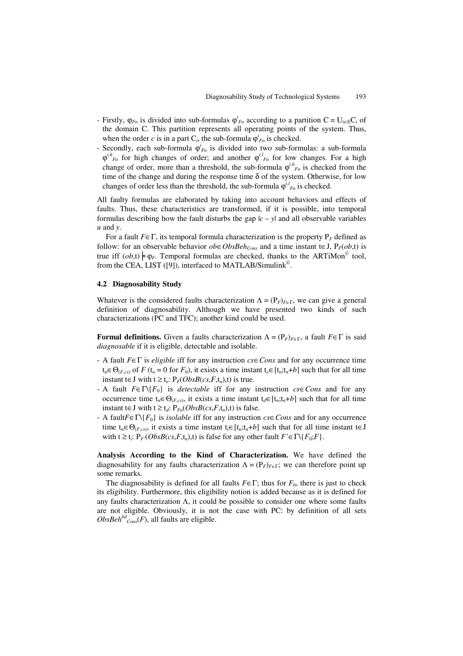- Firstly,  $\varphi_{F_0}$  is divided into sub-formulas  $\varphi_{F_0}^i$  according to a partition  $C = U_{i \in E} C_i$  of the domain C. This partition represents all operating points of the system. Thus, when the order *c* is in a part  $C_i$ , the sub-formula  $\varphi_{F_0}^i$  is checked.
- Secondly, each sub-formula  $\varphi_{F_0}^i$  is divided into two sub-formulas: a sub-formula  $\varphi^{i,h}_{F_0}$  for high changes of order; and another  $\varphi^{i,h}_{F_0}$  for low changes. For a high change of order, more than a threshold, the sub-formula  $\varphi_{F_0}^{i,h}$  is checked from the time of the change and during the response time  $\delta$  of the system. Otherwise, for low changes of order less than the threshold, the sub-formula  $\varphi^{i,l}_{F_0}$  is checked.

All faulty formulas are elaborated by taking into account behaviors and effects of faults. Thus, these characteristics are transformed, if it is possible, into temporal formulas describing how the fault disturbs the gap  $|c - y|$  and all observable variables *u* and *y*.

For a fault *F*∈Γ, its temporal formula characterization is the property P*F* defined as follow: for an observable behavior  $ob ∈ ObsBeh_{Cons}$  and a time instant t∈J,  $P_F(obj, t)$  is true iff  $(ob, t) \models \varphi_F$ . Temporal formulas are checked, thanks to the ARTiMon<sup>©</sup> tool, from the CEA, LIST ([9]), interfaced to MATLAB/Simulink<sup>©</sup>.

#### **4.2 Diagnosability Study**

Whatever is the considered faults characterization  $\Lambda = (P_F)_{F \in \Gamma}$ , we can give a general definition of diagnosability. Although we have presented two kinds of such characterizations (PC and TFC); another kind could be used.

**Formal definitions.** Given a faults characterization  $\Lambda = (P_F)_{F \in \Gamma}$ , a fault  $F \in \Gamma$  is said *diagnosable* if it is eligible, detectable and isolable.

- A fault *F*∈Γ is *eligible* iff for any instruction *cs*∈*Cons* and for any occurrence time  $t_n \in \Theta_{(F, cs)}$  of *F* ( $t_n = 0$  for  $F_0$ ), it exists a time instant  $t_e \in [t_n; t_n + b]$  such that for all time instant t∈ J with t ≥ t<sub>e</sub>:  $P_F(ObsB(cs, F, t_n), t)$  is true.
- A fault *F*∈Γ\{*F*0} is *detectable* iff for any instruction *cs*∈*Cons* and for any occurrence time  $t_n \in \Theta_{(F,cs)}$ , it exists a time instant  $t_d \in [t_n;t_n+b]$  such that for all time instant t∈ J with t ≥ t<sub>d</sub>:  $P_{F0}(ObsB(cs, F, t_n), t)$  is false.
- A fault*F*∈Γ\{*F*0} is *isolable* iff for any instruction *cs*∈*Cons* and for any occurrence time  $t_n \in \Theta_{(F,cs)}$ , it exists a time instant  $t_i \in [t_n;t_n+b]$  such that for all time instant  $t \in J$ with  $t \ge t_i$ :  $P_F(ObsB(cs, F, t_n), t)$  is false for any other fault  $F' \in \Gamma \setminus \{F_0; F\}$ .

**Analysis According to the Kind of Characterization.** We have defined the diagnosability for any faults characterization  $\Lambda = (P_F)_{F \in \Gamma}$ ; we can therefore point up some remarks.

The diagnosability is defined for all faults  $F \in \Gamma$ ; thus for  $F_0$ , there is just to check its eligibility. Furthermore, this eligibility notion is added because as it is defined for any faults characterization Λ, it could be possible to consider one where some faults are not eligible. Obviously, it is not the case with PC: by definition of all sets  $ObsBeh^{bd}_{Cons}(F)$ , all faults are eligible.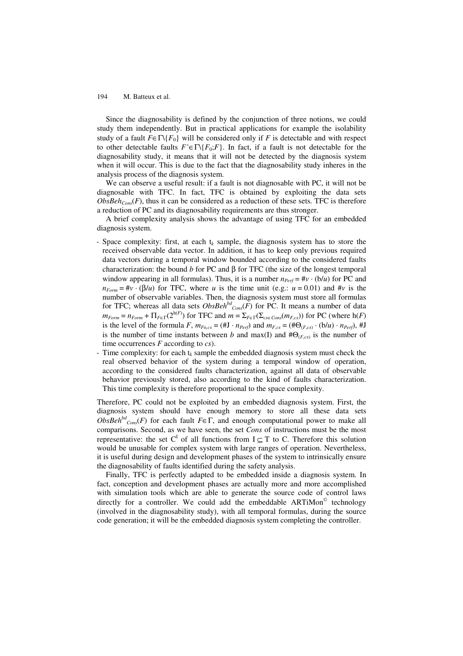Since the diagnosability is defined by the conjunction of three notions, we could study them independently. But in practical applications for example the isolability study of a fault  $F \in \Gamma \backslash \{F_0\}$  will be considered only if *F* is detectable and with respect to other detectable faults  $F' \in \Gamma \setminus \{F_0; F\}$ . In fact, if a fault is not detectable for the diagnosability study, it means that it will not be detected by the diagnosis system when it will occur. This is due to the fact that the diagnosability study inheres in the analysis process of the diagnosis system.

We can observe a useful result: if a fault is not diagnosable with PC, it will not be diagnosable with TFC. In fact, TFC is obtained by exploiting the data sets  $ObsBeh_{Cons}(F)$ , thus it can be considered as a reduction of these sets. TFC is therefore a reduction of PC and its diagnosability requirements are thus stronger.

A brief complexity analysis shows the advantage of using TFC for an embedded diagnosis system.

- Space complexity: first, at each  $t_k$  sample, the diagnosis system has to store the received observable data vector. In addition, it has to keep only previous required data vectors during a temporal window bounded according to the considered faults characterization: the bound *b* for PC and β for TFC (the size of the longest temporal window appearing in all formulas). Thus, it is a number  $n_{Perf} = \#v \cdot (b/u)$  for PC and  $n_{Form} = \#v \cdot (\beta/u)$  for TFC, where *u* is the time unit (e.g.:  $u = 0.01$ ) and  $\#v$  is the number of observable variables. Then, the diagnosis system must store all formulas for TFC; whereas all data sets  $ObsBeh^{bd}_{Cons}(F)$  for PC. It means a number of data  $m_{Form} = n_{Form} + \prod_{F \in \Gamma}(2^{h(F)})$  for TFC and  $m = \sum_{F \in \Gamma}(\sum_{cse\text{ Cons}}(m_{F,cs}))$  for PC (where h(*F*) is the level of the formula *F*,  $m_{F_0, cs} = (\#J \cdot n_{Perf})$  and  $m_{F, cs} = (\# \Theta_{(F, cs)} \cdot (b/u) \cdot n_{Perf})$ , #J is the number of time instants between *b* and max(I) and  $\#\Theta_{(F,cs)}$  is the number of time occurrences *F* according to *cs*).
- Time complexity: for each  $t_k$  sample the embedded diagnosis system must check the real observed behavior of the system during a temporal window of operation, according to the considered faults characterization, against all data of observable behavior previously stored, also according to the kind of faults characterization. This time complexity is therefore proportional to the space complexity.

Therefore, PC could not be exploited by an embedded diagnosis system. First, the diagnosis system should have enough memory to store all these data sets *ObsBeh*<sup>bd</sup><sub>Cons</sub>(*F*) for each fault  $F \in \Gamma$ , and enough computational power to make all comparisons. Second, as we have seen, the set *Cons* of instructions must be the most representative: the set C<sup>I</sup> of all functions from  $I \subseteq T$  to C. Therefore this solution would be unusable for complex system with large ranges of operation. Nevertheless, it is useful during design and development phases of the system to intrinsically ensure the diagnosability of faults identified during the safety analysis.

Finally, TFC is perfectly adapted to be embedded inside a diagnosis system. In fact, conception and development phases are actually more and more accomplished with simulation tools which are able to generate the source code of control laws directly for a controller. We could add the embeddable  $ARTiMon^{\circ}$  technology (involved in the diagnosability study), with all temporal formulas, during the source code generation; it will be the embedded diagnosis system completing the controller.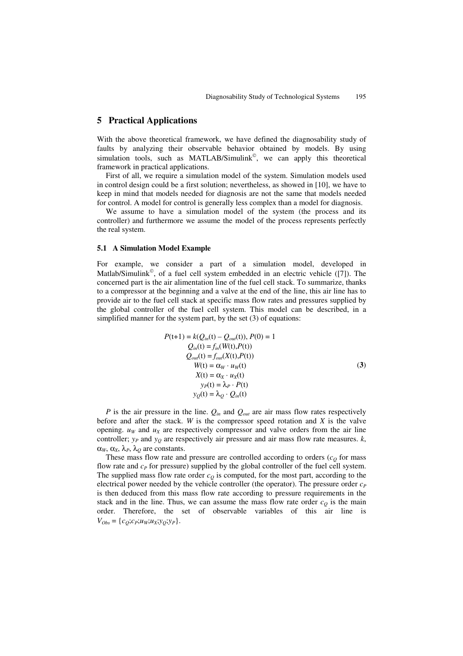#### **5 Practical Applications**

With the above theoretical framework, we have defined the diagnosability study of faults by analyzing their observable behavior obtained by models. By using simulation tools, such as MATLAB/Simulink $^{\circ}$ , we can apply this theoretical framework in practical applications.

First of all, we require a simulation model of the system. Simulation models used in control design could be a first solution; nevertheless, as showed in [10], we have to keep in mind that models needed for diagnosis are not the same that models needed for control. A model for control is generally less complex than a model for diagnosis.

We assume to have a simulation model of the system (the process and its controller) and furthermore we assume the model of the process represents perfectly the real system.

#### **5.1 A Simulation Model Example**

For example, we consider a part of a simulation model, developed in Matlab/Simulink $^{\circ}$ , of a fuel cell system embedded in an electric vehicle ([7]). The concerned part is the air alimentation line of the fuel cell stack. To summarize, thanks to a compressor at the beginning and a valve at the end of the line, this air line has to provide air to the fuel cell stack at specific mass flow rates and pressures supplied by the global controller of the fuel cell system. This model can be described, in a simplified manner for the system part, by the set (3) of equations:

$$
P(t+1) = k(Q_{in}(t) - Q_{out}(t)), P(0) = 1
$$
  
\n
$$
Q_{in}(t) = f_{in}(W(t), P(t))
$$
  
\n
$$
Q_{out}(t) = f_{out}(X(t), P(t))
$$
  
\n
$$
W(t) = \alpha_W \cdot u_W(t)
$$
  
\n
$$
X(t) = \alpha_X \cdot u_X(t)
$$
  
\n
$$
y_P(t) = \lambda_P \cdot P(t)
$$
  
\n
$$
y_Q(t) = \lambda_Q \cdot Q_{in}(t)
$$

*P* is the air pressure in the line.  $Q_{in}$  and  $Q_{out}$  are air mass flow rates respectively before and after the stack. *W* is the compressor speed rotation and *X* is the valve opening.  $u_w$  and  $u_x$  are respectively compressor and valve orders from the air line controller;  $y_P$  and  $y_Q$  are respectively air pressure and air mass flow rate measures.  $k$ , α*W*, α*X*, λ*P*, λ*Q* are constants.

These mass flow rate and pressure are controlled according to orders  $(c<sub>O</sub>$  for mass flow rate and  $c<sub>P</sub>$  for pressure) supplied by the global controller of the fuel cell system. The supplied mass flow rate order  $c<sub>O</sub>$  is computed, for the most part, according to the electrical power needed by the vehicle controller (the operator). The pressure order  $c<sub>P</sub>$ is then deduced from this mass flow rate according to pressure requirements in the stack and in the line. Thus, we can assume the mass flow rate order  $c<sub>Q</sub>$  is the main order. Therefore, the set of observable variables of this air line is  $V_{Obs} = \{c_O; c_P; u_W; u_X; y_O; y_P\}.$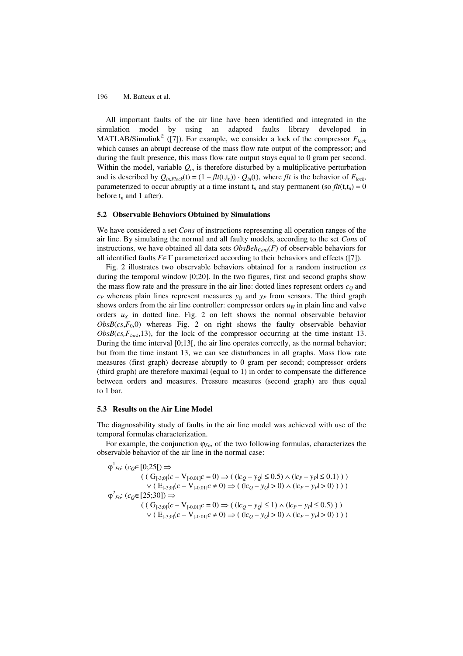All important faults of the air line have been identified and integrated in the simulation model by using an adapted faults library developed in MATLAB/Simulink<sup>©</sup> ([7]). For example, we consider a lock of the compressor  $F_{lock}$ which causes an abrupt decrease of the mass flow rate output of the compressor; and during the fault presence, this mass flow rate output stays equal to 0 gram per second. Within the model, variable  $Q_{in}$  is therefore disturbed by a multiplicative perturbation and is described by  $Q_{in, Flock}(t) = (1 - flt(t, t_n)) \cdot Q_{in}(t)$ , where *flt* is the behavior of  $F_{lock}$ , parameterized to occur abruptly at a time instant  $t_n$  and stay permanent (so  $flt(t,t_n) = 0$ before  $t_n$  and 1 after).

#### **5.2 Observable Behaviors Obtained by Simulations**

We have considered a set *Cons* of instructions representing all operation ranges of the air line. By simulating the normal and all faulty models, according to the set *Cons* of instructions, we have obtained all data sets  $ObsBeh_{Cons}(F)$  of observable behaviors for all identified faults *F*∈Γ parameterized according to their behaviors and effects ([7]).

Fig. 2 illustrates two observable behaviors obtained for a random instruction *cs* during the temporal window [0;20]. In the two figures, first and second graphs show the mass flow rate and the pressure in the air line: dotted lines represent orders  $c<sub>Q</sub>$  and  $c_P$  whereas plain lines represent measures  $y_Q$  and  $y_P$  from sensors. The third graph shows orders from the air line controller: compressor orders  $u<sub>W</sub>$  in plain line and valve orders  $u_x$  in dotted line. Fig. 2 on left shows the normal observable behavior  $ObsB(cs, F<sub>0</sub>, 0)$  whereas Fig. 2 on right shows the faulty observable behavior  $ObsB(c, F_{lock}, 13)$ , for the lock of the compressor occurring at the time instant 13. During the time interval [0;13[, the air line operates correctly, as the normal behavior; but from the time instant 13, we can see disturbances in all graphs. Mass flow rate measures (first graph) decrease abruptly to 0 gram per second; compressor orders (third graph) are therefore maximal (equal to 1) in order to compensate the difference between orders and measures. Pressure measures (second graph) are thus equal to 1 bar.

#### **5.3 Results on the Air Line Model**

The diagnosability study of faults in the air line model was achieved with use of the temporal formulas characterization.

For example, the conjunction  $\varphi_{F_0}$ , of the two following formulas, characterizes the observable behavior of the air line in the normal case:

$$
\varphi^1_{F_0}: (c_Q \in [0; 25]) \Rightarrow
$$
\n
$$
((G_{[-3;0]}(c - V_{[-0.01]}c = 0) \Rightarrow ((lc_Q - y_Q) \le 0.5) \land (lc_P - y_P) \le 0.1)))
$$
\n
$$
\lor (E_{[-3;0]}(c - V_{[-0.01]}c \ne 0) \Rightarrow ((lc_Q - y_Q) > 0) \land (lc_P - y_P) > 0)))
$$
\n
$$
\varphi^2_{F_0}: (c_Q \in [25; 30]) \Rightarrow
$$
\n
$$
((G_{[-3;0]}(c - V_{[-0.01]}c = 0) \Rightarrow ((lc_Q - y_Q) \le 1) \land (lc_P - y_P) \le 0.5)))
$$
\n
$$
\lor (E_{[-3;0]}(c - V_{[-0.01]}c \ne 0) \Rightarrow ((lc_Q - y_Q) > 0) \land ((lc_P - y_P) > 0)))
$$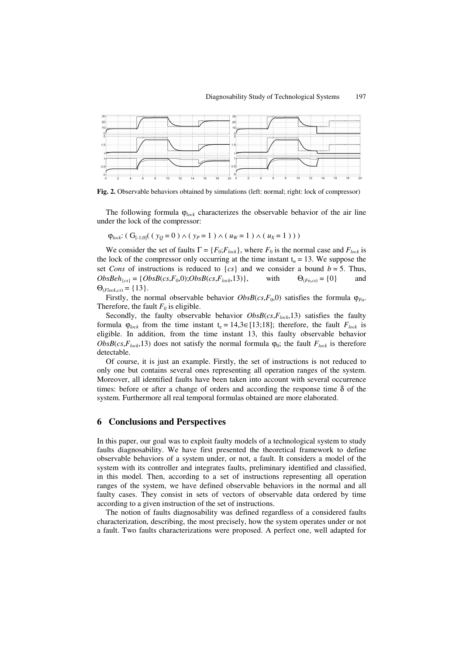

**Fig. 2.** Observable behaviors obtained by simulations (left: normal; right: lock of compressor)

The following formula ϕ*lock* characterizes the observable behavior of the air line under the lock of the compressor:

 $\varphi_{lock}$ : ( G<sub>[-1;0]</sub>( ( *y*<sub>Q</sub> = 0 )  $\wedge$  ( *y<sub>P</sub>* = 1 )  $\wedge$  ( *u<sub>W</sub>* = 1 )  $\wedge$  ( *u<sub>X</sub>* = 1 ) ) )

We consider the set of faults  $\Gamma = \{F_0; F_{lock}\}$ , where  $F_0$  is the normal case and  $F_{lock}$  is the lock of the compressor only occurring at the time instant  $t_n = 13$ . We suppose the set *Cons* of instructions is reduced to  $\{cs\}$  and we consider a bound  $b = 5$ . Thus,  $ObsBeh_{\{cs\}} = \{ObsB(cs, F_0, 0); ObsB(cs, F_{lock}, 13)\}, \text{ with } \Theta_{(F_0, cs)} = \{0\}$  and  $\Theta_{(Flock, cs)} = \{13\}.$ 

Firstly, the normal observable behavior  $ObsB(cs, F_0, 0)$  satisfies the formula  $\Phi_{F_0}$ . Therefore, the fault  $F_0$  is eligible.

Secondly, the faulty observable behavior  $ObsB(cs, F_{lock}, 13)$  satisfies the faulty formula  $\varphi_{lock}$  from the time instant  $t_e = 14,3\in[13;18]$ ; therefore, the fault  $F_{lock}$  is eligible. In addition, from the time instant 13, this faulty observable behavior  $ObsB(cs, F_{lock}, 13)$  does not satisfy the normal formula  $\varphi_0$ ; the fault  $F_{lock}$  is therefore detectable.

Of course, it is just an example. Firstly, the set of instructions is not reduced to only one but contains several ones representing all operation ranges of the system. Moreover, all identified faults have been taken into account with several occurrence times: before or after a change of orders and according the response time  $\delta$  of the system. Furthermore all real temporal formulas obtained are more elaborated.

#### **6 Conclusions and Perspectives**

In this paper, our goal was to exploit faulty models of a technological system to study faults diagnosability. We have first presented the theoretical framework to define observable behaviors of a system under, or not, a fault. It considers a model of the system with its controller and integrates faults, preliminary identified and classified, in this model. Then, according to a set of instructions representing all operation ranges of the system, we have defined observable behaviors in the normal and all faulty cases. They consist in sets of vectors of observable data ordered by time according to a given instruction of the set of instructions.

The notion of faults diagnosability was defined regardless of a considered faults characterization, describing, the most precisely, how the system operates under or not a fault. Two faults characterizations were proposed. A perfect one, well adapted for